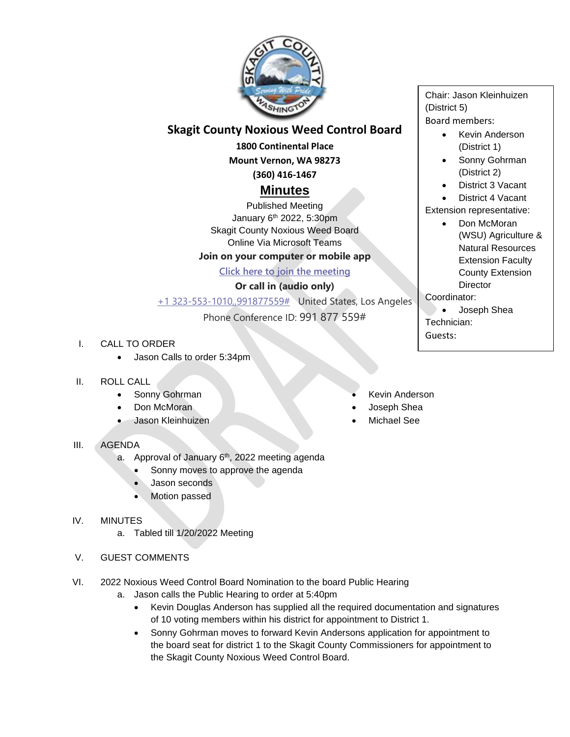

## **Skagit County Noxious Weed Control Board**

**1800 Continental Place**

**Mount Vernon, WA 98273 (360) 416-1467**

# **Minutes**

Published Meeting January 6<sup>th</sup> 2022, 5:30pm Skagit County Noxious Weed Board Online Via Microsoft Teams

#### **Join on your computer or mobile app**

#### **[Click here to join the meeting](https://teams.microsoft.com/l/meetup-join/19%3ameeting_ODc3YjBlOTEtZmUyNy00M2VmLTg2OTItMTZjZjY2MzkyMjkw%40thread.v2/0?context=%7b%22Tid%22%3a%2279572502-f11c-4f30-b941-b7276048d3ce%22%2c%22Oid%22%3a%224a734cba-e51a-45a5-8408-cd8ced0e417c%22%7d)**

#### **Or call in (audio only)**

[+1 323-553-1010,,991877559#](tel:+13235531010,,991877559# ) United States, Los Angeles

### Phone Conference ID: 991 877 559#

- I. CALL TO ORDER
	- Jason Calls to order 5:34pm

#### II. ROLL CALL

- Sonny Gohrman
- Don McMoran
- Jason Kleinhuizen
- III. AGENDA
	- a. Approval of January 6<sup>th</sup>, 2022 meeting agenda
		- Sonny moves to approve the agenda
		- Jason seconds
		- Motion passed

#### IV. MINUTES

- a. Tabled till 1/20/2022 Meeting
- V. GUEST COMMENTS
- VI. 2022 Noxious Weed Control Board Nomination to the board Public Hearing
	- a. Jason calls the Public Hearing to order at 5:40pm
		- Kevin Douglas Anderson has supplied all the required documentation and signatures of 10 voting members within his district for appointment to District 1.
		- Sonny Gohrman moves to forward Kevin Andersons application for appointment to the board seat for district 1 to the Skagit County Commissioners for appointment to the Skagit County Noxious Weed Control Board.

Chair: Jason Kleinhuizen (District 5) Board members:

- Kevin Anderson (District 1)
- Sonny Gohrman (District 2)
- District 3 Vacant

District 4 Vacant

- Extension representative: • Don McMoran (WSU) Agriculture &
	- Natural Resources Extension Faculty County Extension **Director**
- Coordinator:
- Joseph Shea Technician: Guests:
- Kevin Anderson
- Joseph Shea
- Michael See